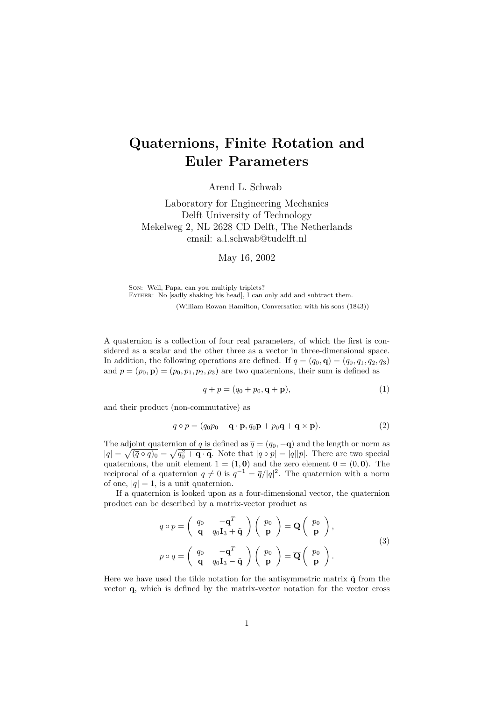## Quaternions, Finite Rotation and Euler Parameters

Arend L. Schwab

Laboratory for Engineering Mechanics Delft University of Technology Mekelweg 2, NL 2628 CD Delft, The Netherlands email: a.l.schwab@tudelft.nl

May 16, 2002

Son: Well, Papa, can you multiply triplets? FATHER: No [sadly shaking his head], I can only add and subtract them. (William Rowan Hamilton, Conversation with his sons (1843))

A quaternion is a collection of four real parameters, of which the first is considered as a scalar and the other three as a vector in three-dimensional space. In addition, the following operations are defined. If  $q = (q_0, \mathbf{q}) = (q_0, q_1, q_2, q_3)$ and  $p = (p_0, \mathbf{p}) = (p_0, p_1, p_2, p_3)$  are two quaternions, their sum is defined as

$$
q + p = (q_0 + p_0, \mathbf{q} + \mathbf{p}),
$$
\n<sup>(1)</sup>

and their product (non-commutative) as

$$
q \circ p = (q_0 p_0 - \mathbf{q} \cdot \mathbf{p}, q_0 \mathbf{p} + p_0 \mathbf{q} + \mathbf{q} \times \mathbf{p}).
$$
 (2)

The adjoint quaternion of q is defined as  $\overline{q} = (q_0, -\mathbf{q})$  and the length or norm as  $|q| = \sqrt{(\bar{q} \circ q)_0} = \sqrt{q_0^2 + \mathbf{q} \cdot \mathbf{q}}$ . Note that  $|q \circ p| = |q||p|$ . There are two special quaternions, the unit element  $1 = (1, 0)$  and the zero element  $0 = (0, 0)$ . The reciprocal of a quaternion  $q \neq 0$  is  $q^{-1} = \overline{q}/|q|^2$ . The quaternion with a norm of one,  $|q|=1$ , is a unit quaternion.

If a quaternion is looked upon as a four-dimensional vector, the quaternion product can be described by a matrix-vector product as

$$
q \circ p = \begin{pmatrix} q_0 & -\mathbf{q}^T \\ \mathbf{q} & q_0 \mathbf{I}_3 + \tilde{\mathbf{q}} \end{pmatrix} \begin{pmatrix} p_0 \\ \mathbf{p} \end{pmatrix} = \mathbf{Q} \begin{pmatrix} p_0 \\ \mathbf{p} \end{pmatrix},
$$
  
\n
$$
p \circ q = \begin{pmatrix} q_0 & -\mathbf{q}^T \\ \mathbf{q} & q_0 \mathbf{I}_3 - \tilde{\mathbf{q}} \end{pmatrix} \begin{pmatrix} p_0 \\ \mathbf{p} \end{pmatrix} = \overline{\mathbf{Q}} \begin{pmatrix} p_0 \\ \mathbf{p} \end{pmatrix}.
$$
 (3)

Here we have used the tilde notation for the antisymmetric matrix  $\tilde{\mathbf{q}}$  from the vector q, which is defined by the matrix-vector notation for the vector cross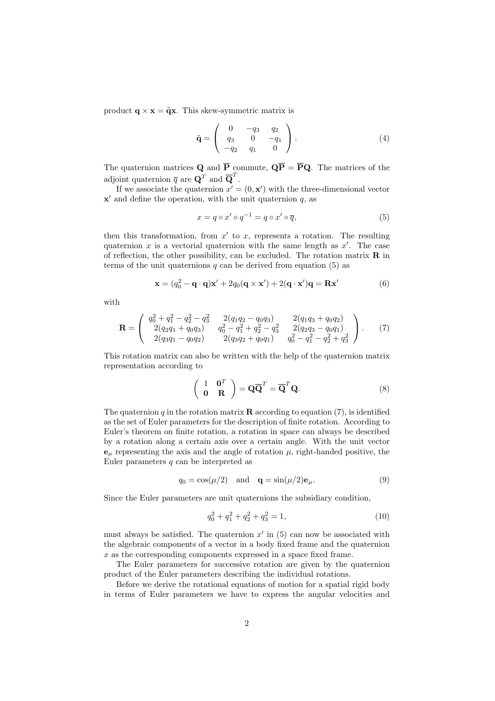product  $\mathbf{q} \times \mathbf{x} = \tilde{\mathbf{q}} \mathbf{x}$ . This skew-symmetric matrix is

$$
\tilde{\mathbf{q}} = \begin{pmatrix} 0 & -q_3 & q_2 \\ q_3 & 0 & -q_1 \\ -q_2 & q_1 & 0 \end{pmatrix} . \tag{4}
$$

The quaternion matrices **Q** and  $\overline{P}$  commute,  $\overline{QP} = \overline{P}Q$ . The matrices of the adjoint quaternion  $\overline{q}$  are  $\mathbf{Q}^T$  and  $\overline{\mathbf{Q}}^T$ .

If we associate the quaternion  $x' = (0, \mathbf{x}')$  with the three-dimensional vector  $x'$  and define the operation, with the unit quaternion q, as

$$
x = q \circ x' \circ q^{-1} = q \circ x' \circ \overline{q},\tag{5}
$$

then this transformation, from  $x'$  to  $x$ , represents a rotation. The resulting quaternion x is a vectorial quaternion with the same length as  $x'$ . The case of reflection, the other possibility, can be excluded. The rotation matrix  $\bf{R}$  in terms of the unit quaternions q can be derived from equation  $(5)$  as

$$
\mathbf{x} = (q_0^2 - \mathbf{q} \cdot \mathbf{q})\mathbf{x}' + 2q_0(\mathbf{q} \times \mathbf{x}') + 2(\mathbf{q} \cdot \mathbf{x}')\mathbf{q} = \mathbf{R}\mathbf{x}'
$$
 (6)

with

$$
\mathbf{R} = \begin{pmatrix} q_0^2 + q_1^2 - q_2^2 - q_3^2 & 2(q_1q_2 - q_0q_3) & 2(q_1q_3 + q_0q_2) \\ 2(q_2q_1 + q_0q_3) & q_0^2 - q_1^2 + q_2^2 - q_3^2 & 2(q_2q_3 - q_0q_1) \\ 2(q_3q_1 - q_0q_2) & 2(q_3q_2 + q_0q_1) & q_0^2 - q_1^2 - q_2^2 + q_3^2 \end{pmatrix}.
$$
 (7)

This rotation matrix can also be written with the help of the quaternion matrix representation according to

$$
\begin{pmatrix} 1 & \mathbf{0}^T \\ \mathbf{0} & \mathbf{R} \end{pmatrix} = \mathbf{Q}\overline{\mathbf{Q}}^T = \overline{\mathbf{Q}}^T\mathbf{Q}.
$$
 (8)

The quaternion q in the rotation matrix **R** according to equation (7), is identified as the set of Euler parameters for the description of finite rotation. According to Euler's theorem on finite rotation, a rotation in space can always be described by a rotation along a certain axis over a certain angle. With the unit vector  $\mathbf{e}_{\mu}$  representing the axis and the angle of rotation  $\mu$ , right-handed positive, the Euler parameters  $q$  can be interpreted as

$$
q_0 = \cos(\mu/2) \quad \text{and} \quad \mathbf{q} = \sin(\mu/2)\mathbf{e}_{\mu}.\tag{9}
$$

Since the Euler parameters are unit quaternions the subsidiary condition,

$$
q_0^2 + q_1^2 + q_2^2 + q_3^2 = 1,\t\t(10)
$$

must always be satisfied. The quaternion  $x'$  in  $(5)$  can now be associated with the algebraic components of a vector in a body fixed frame and the quaternion  $x$  as the corresponding components expressed in a space fixed frame.

The Euler parameters for successive rotation are given by the quaternion product of the Euler parameters describing the individual rotations.

Before we derive the rotational equations of motion for a spatial rigid body in terms of Euler parameters we have to express the angular velocities and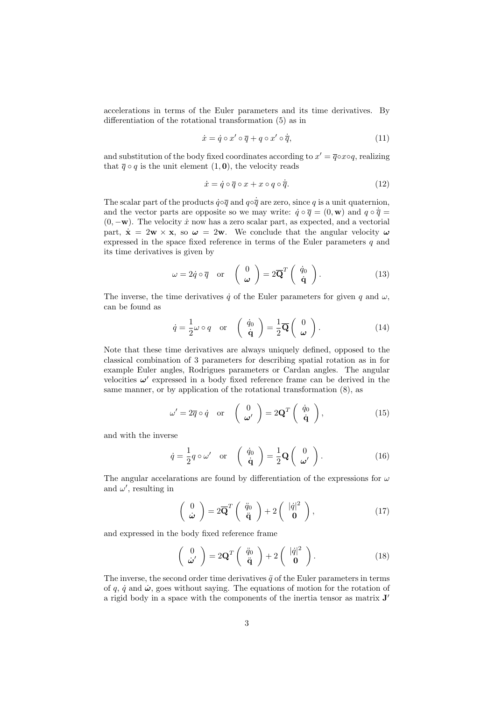accelerations in terms of the Euler parameters and its time derivatives. By differentiation of the rotational transformation (5) as in

$$
\dot{x} = \dot{q} \circ x' \circ \overline{q} + q \circ x' \circ \dot{\overline{q}},\tag{11}
$$

and substitution of the body fixed coordinates according to  $x' = \overline{q} \circ x \circ q$ , realizing that  $\overline{q} \circ q$  is the unit element  $(1, 0)$ , the velocity reads

$$
\dot{x} = \dot{q} \circ \overline{q} \circ x + x \circ q \circ \dot{\overline{q}}.\tag{12}
$$

The scalar part of the products  $\dot{q} \circ \overline{q}$  and  $q \circ \dot{\overline{q}}$  are zero, since q is a unit quaternion, and the vector parts are opposite so we may write:  $\dot{q} \circ \overline{q} = (0, \mathbf{w})$  and  $q \circ \dot{\overline{q}} =$  $(0, -w)$ . The velocity  $\dot{x}$  now has a zero scalar part, as expected, and a vectorial part,  $\dot{\mathbf{x}} = 2\mathbf{w} \times \mathbf{x}$ , so  $\boldsymbol{\omega} = 2\mathbf{w}$ . We conclude that the angular velocity  $\boldsymbol{\omega}$ expressed in the space fixed reference in terms of the Euler parameters  $q$  and its time derivatives is given by

$$
\omega = 2\dot{q} \circ \overline{q} \quad \text{or} \quad \begin{pmatrix} 0 \\ \omega \end{pmatrix} = 2\overline{\mathbf{Q}}^T \begin{pmatrix} \dot{q}_0 \\ \dot{\mathbf{q}} \end{pmatrix}.
$$
 (13)

The inverse, the time derivatives  $\dot{q}$  of the Euler parameters for given q and  $\omega$ , can be found as

$$
\dot{q} = \frac{1}{2}\omega \circ q \quad \text{or} \quad \left(\begin{array}{c} \dot{q}_0 \\ \dot{\mathbf{q}} \end{array}\right) = \frac{1}{2}\overline{\mathbf{Q}}\left(\begin{array}{c} 0 \\ \omega \end{array}\right). \tag{14}
$$

Note that these time derivatives are always uniquely defined, opposed to the classical combination of 3 parameters for describing spatial rotation as in for example Euler angles, Rodrigues parameters or Cardan angles. The angular velocities  $\omega'$  expressed in a body fixed reference frame can be derived in the same manner, or by application of the rotational transformation (8), as

$$
\omega' = 2\overline{q} \circ \dot{q} \quad \text{or} \quad \begin{pmatrix} 0 \\ \omega' \end{pmatrix} = 2\mathbf{Q}^T \begin{pmatrix} \dot{q}_0 \\ \dot{\mathbf{q}} \end{pmatrix},\tag{15}
$$

and with the inverse

$$
\dot{q} = \frac{1}{2}q \circ \omega' \quad \text{or} \quad \left(\begin{array}{c} \dot{q}_0 \\ \dot{\mathbf{q}} \end{array}\right) = \frac{1}{2}\mathbf{Q} \left(\begin{array}{c} 0 \\ \omega' \end{array}\right). \tag{16}
$$

The angular accelarations are found by differentiation of the expressions for  $\omega$ and  $\omega'$ , resulting in

$$
\begin{pmatrix} 0 \\ \dot{\boldsymbol{\omega}} \end{pmatrix} = 2\overline{\mathbf{Q}}^T \begin{pmatrix} \ddot{q}_0 \\ \ddot{\mathbf{q}} \end{pmatrix} + 2 \begin{pmatrix} |\dot{q}|^2 \\ \mathbf{0} \end{pmatrix}, \qquad (17)
$$

and expressed in the body fixed reference frame

$$
\begin{pmatrix} 0 \\ \dot{\omega}' \end{pmatrix} = 2\mathbf{Q}^T \begin{pmatrix} \ddot{q}_0 \\ \ddot{\mathbf{q}} \end{pmatrix} + 2 \begin{pmatrix} |\dot{q}|^2 \\ \mathbf{0} \end{pmatrix}.
$$
 (18)

The inverse, the second order time derivatives  $\ddot{q}$  of the Euler parameters in terms of q,  $\dot{q}$  and  $\dot{\omega}$ , goes without saying. The equations of motion for the rotation of a rigid body in a space with the components of the inertia tensor as matrix  $J'$